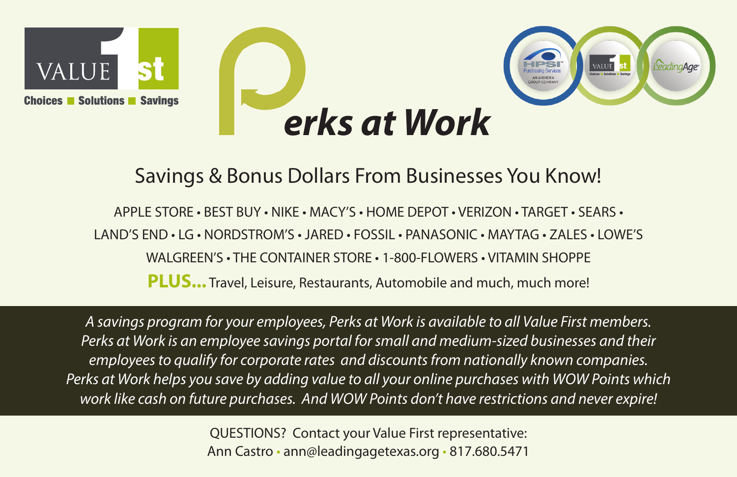

## Savings & Bonus Dollars From Businesses You Know!

APPLE STORE • BEST BUY • NIKE • MACY'S • HOME DEPOT • VERIZON • TARGET • SEARS • LAND'S END • LG • NORDSTROM'S • JARED • FOSSIL • PANASONIC • MAYTAG • ZALES • LOWE'S WALGREEN'S • THE CONTAINER STORE • 1-800-FLOWERS • VITAMIN SHOPPE **PLUS...** Travel, Leisure, Restaurants, Automobile and much, much more!

*A savings program for your employees, Perks at Work is available to all Value First members. Perks at Work is an employee savings portal for small and medium-sized businesses and their employees to qualify for corporate rates and discounts from nationally known companies. Perks at Work helps you save by adding value to all your online purchases with WOW Points which work like cash on future purchases. And WOW Points don't have restrictions and never expire!*

> QUESTIONS? Contact your Value First representative: Ann Castro • ann@leadingagetexas.org • 817.680.5471